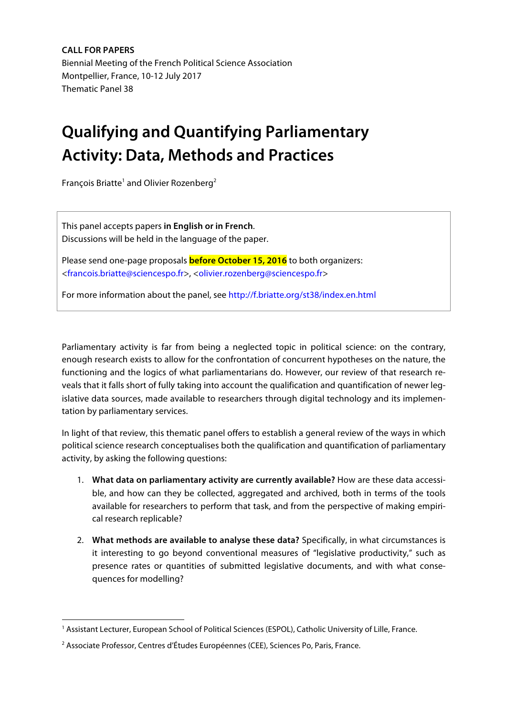**CALL FOR PAPERS** Biennial Meeting of the French Political Science Association Montpellier, France, 10-12 July 2017 Thematic Panel 38

## **Qualifying and Quantifying Parliamentary Activity: Data, Methods and Practices**

François Briatte<sup>1</sup> and Olivier Rozenberg<sup>2</sup>

This panel accepts papers **in English or in French**. Discussions will be held in the language of the paper.

Please send one-page proposals **before October 15, 2016** to both organizers: <francois.briatte@sciencespo.fr>, <olivier.rozenberg@sciencespo.fr>

For more information about the panel, see http://f.briatte.org/st38/index.en.html

Parliamentary activity is far from being a neglected topic in political science: on the contrary, enough research exists to allow for the confrontation of concurrent hypotheses on the nature, the functioning and the logics of what parliamentarians do. However, our review of that research reveals that it falls short of fully taking into account the qualification and quantification of newer legislative data sources, made available to researchers through digital technology and its implementation by parliamentary services.

In light of that review, this thematic panel offers to establish a general review of the ways in which political science research conceptualises both the qualification and quantification of parliamentary activity, by asking the following questions:

- 1. **What data on parliamentary activity are currently available?** How are these data accessible, and how can they be collected, aggregated and archived, both in terms of the tools available for researchers to perform that task, and from the perspective of making empirical research replicable?
- 2. **What methods are available to analyse these data?** Specifically, in what circumstances is it interesting to go beyond conventional measures of "legislative productivity," such as presence rates or quantities of submitted legislative documents, and with what consequences for modelling?

<sup>1</sup> Assistant Lecturer, European School of Political Sciences (ESPOL), Catholic University of Lille, France.

<sup>2</sup> Associate Professor, Centres d'Études Européennes (CEE), Sciences Po, Paris, France.